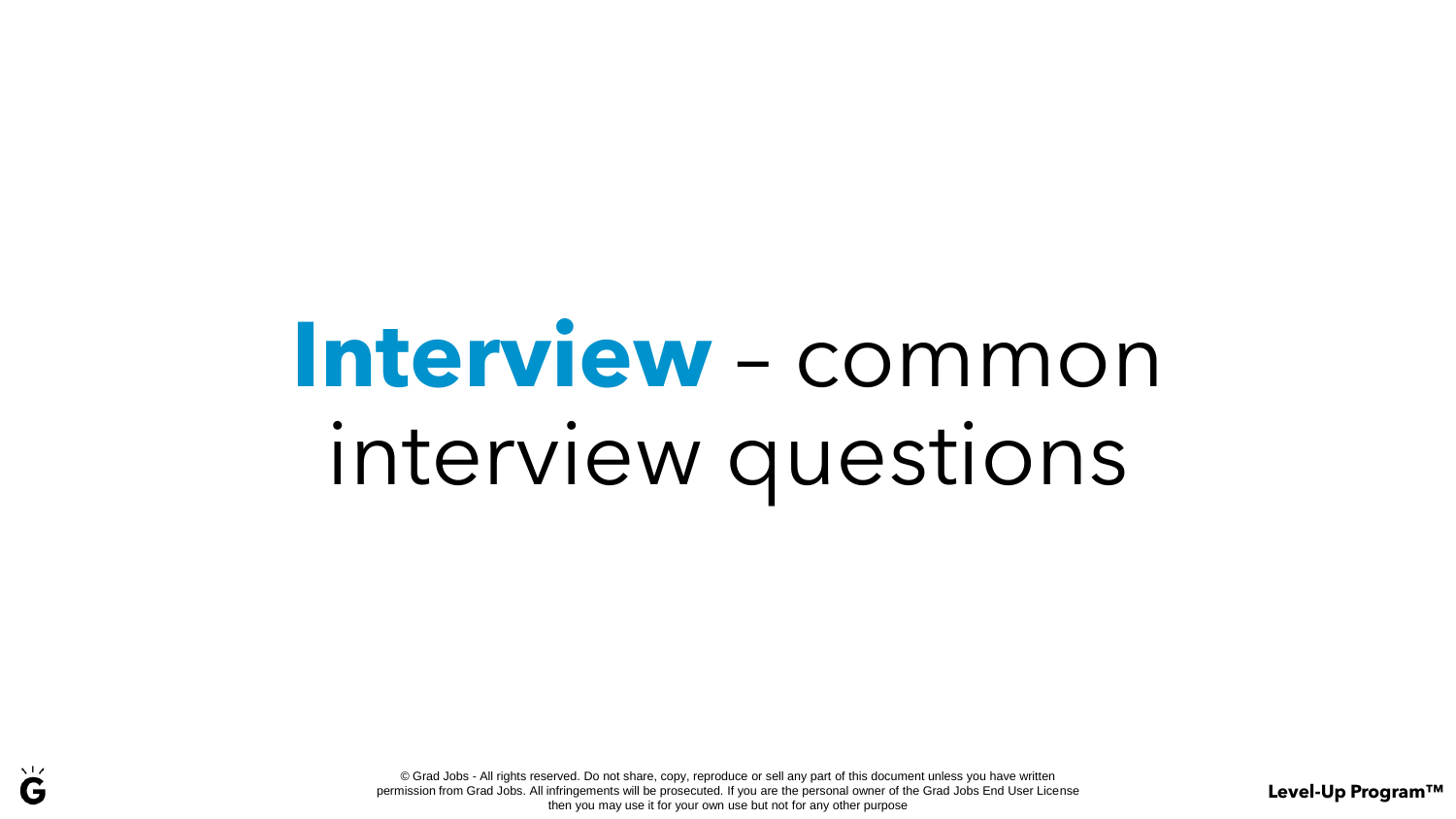# **Interview** – common interview questions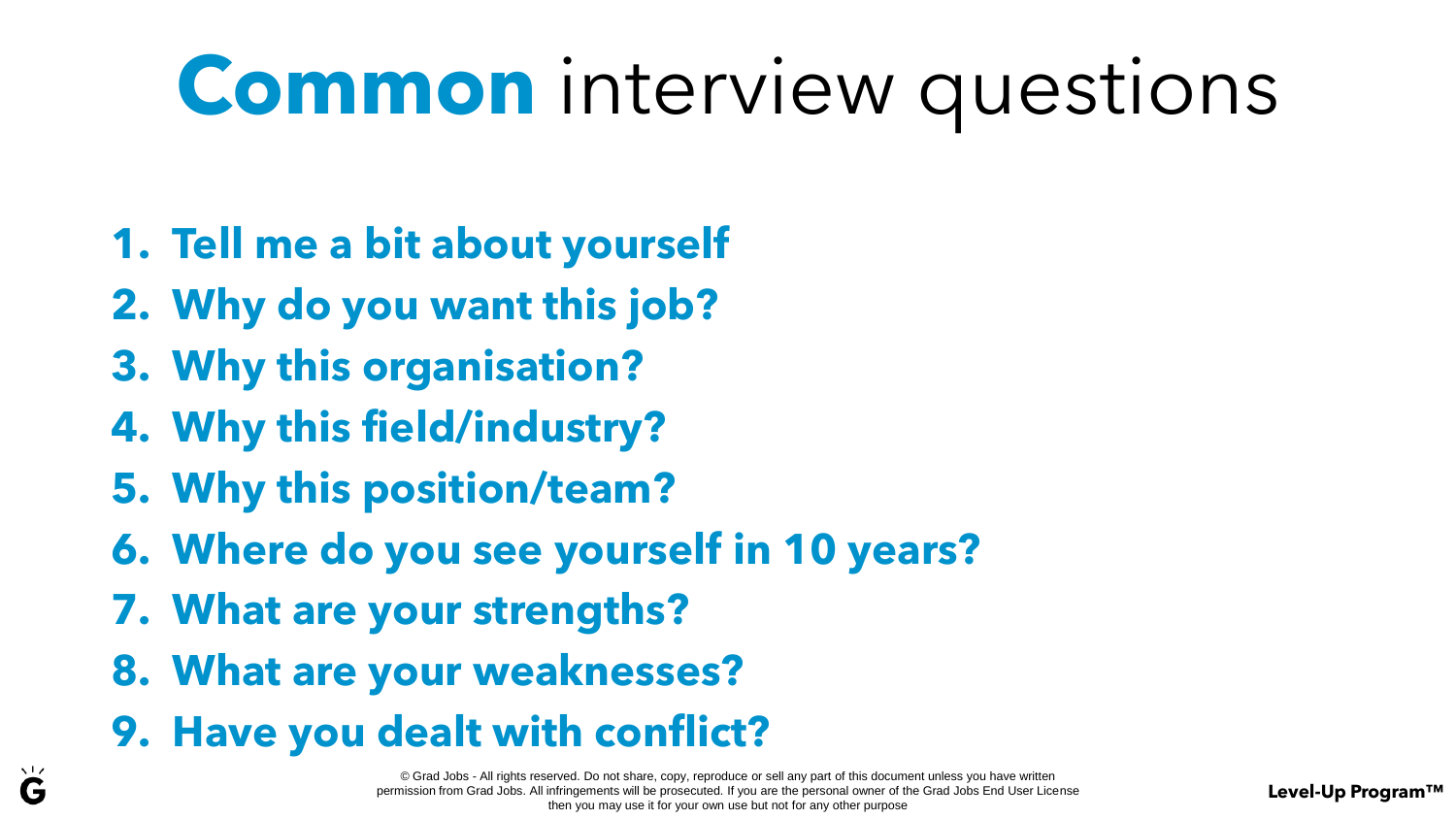### **Common** interview questions

- **1. Tell me a bit about yourself**
- **2. Why do you want this job?**
- **3. Why this organisation?**
- **4. Why this field/industry?**
- **5. Why this position/team?**
- **6. Where do you see yourself in 10 years?**
- **7. What are your strengths?**
- **8. What are your weaknesses?**
- **9. Have you dealt with conflict?**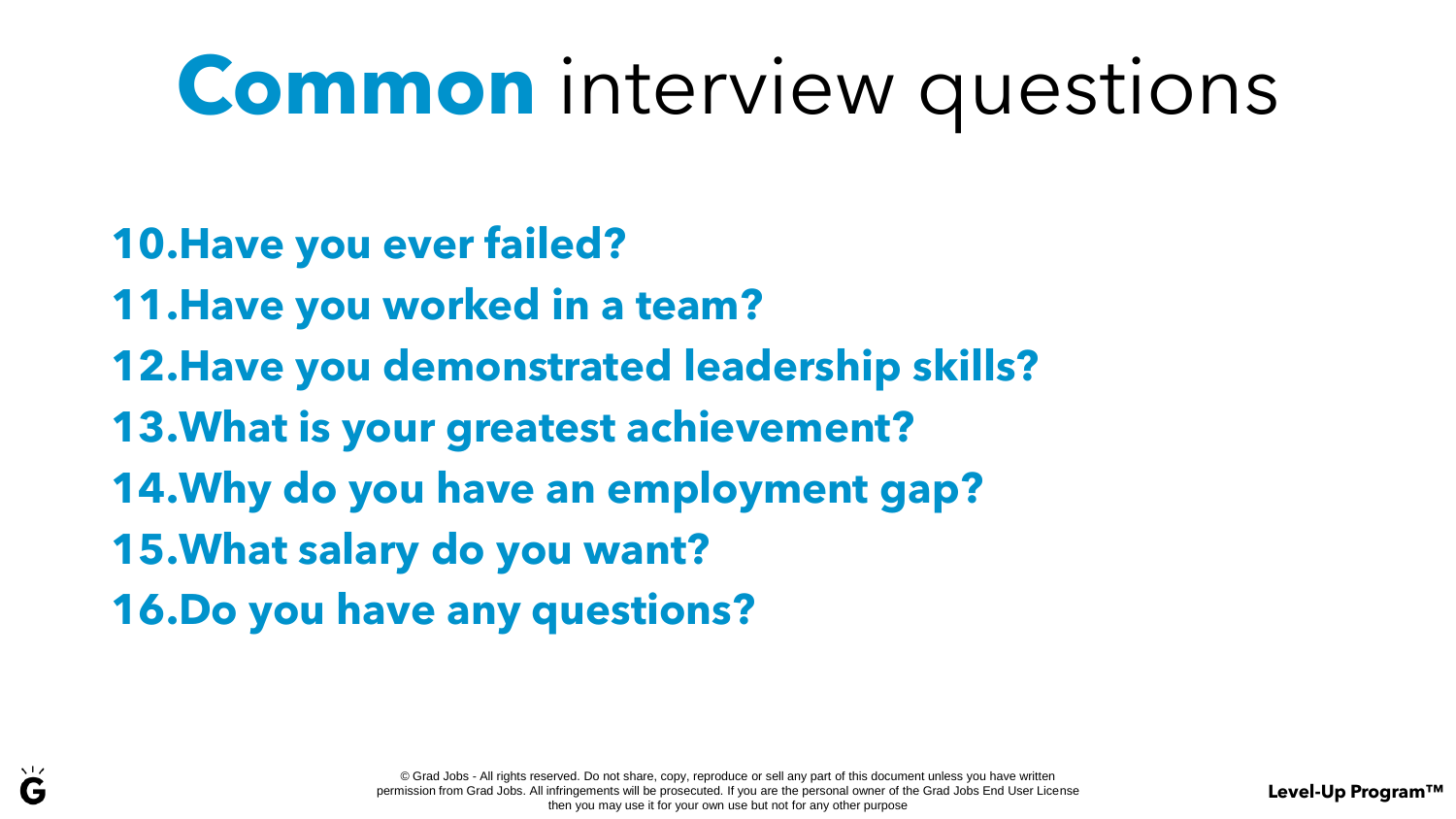#### **Common** interview questions

- **10.Have you ever failed?**
- **11.Have you worked in a team?**
- **12.Have you demonstrated leadership skills?**
- **13.What is your greatest achievement?**
- **14.Why do you have an employment gap?**
- **15.What salary do you want?**
- **16.Do you have any questions?**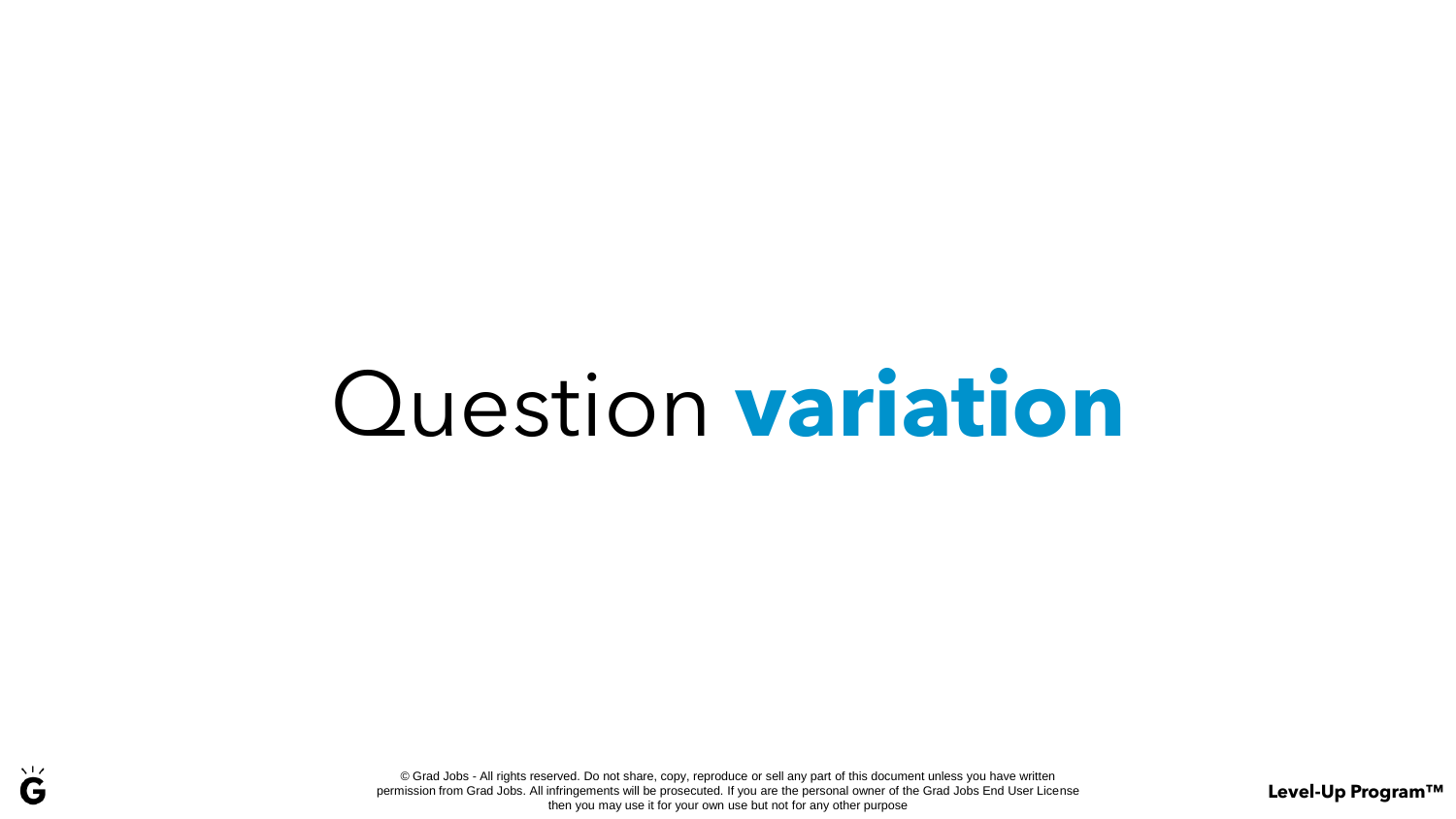## Question **variation**